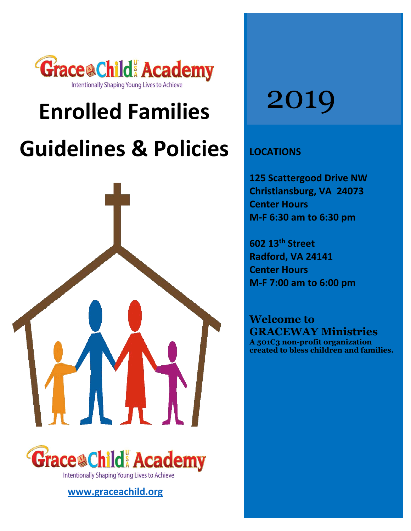

# **Enrolled Families Guidelines & Policies**





# **[www.graceachild.org](http://www.graceachild.org/)**

# 2019

# **LOCATIONS**

**125 Scattergood Drive NW Christiansburg, VA 24073 Center Hours M-F 6:30 am to 6:30 pm**

**602 13th Street Radford, VA 24141 Center Hours M-F 7:00 am to 6:00 pm**

**Welcome to GRACEWAY Ministries A 501C3 non-profit organization created to bless children and families.**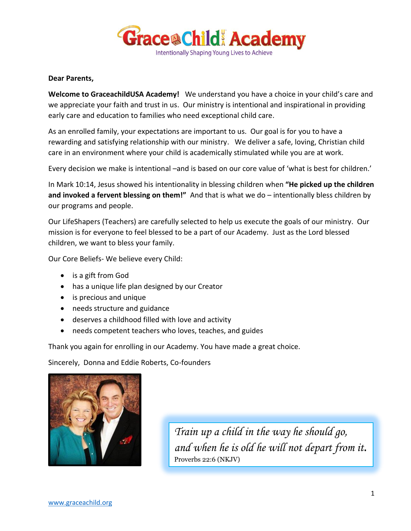

## **Dear Parents,**

**Welcome to GraceachildUSA Academy!** We understand you have a choice in your child's care and we appreciate your faith and trust in us. Our ministry is intentional and inspirational in providing early care and education to families who need exceptional child care.

As an enrolled family, your expectations are important to us. Our goal is for you to have a rewarding and satisfying relationship with our ministry. We deliver a safe, loving, Christian child care in an environment where your child is academically stimulated while you are at work.

Every decision we make is intentional –and is based on our core value of 'what is best for children.'

In Mark 10:14, Jesus showed his intentionality in blessing children when **"He picked up the children and invoked a fervent blessing on them!"** And that is what we do – intentionally bless children by our programs and people.

Our LifeShapers (Teachers) are carefully selected to help us execute the goals of our ministry. Our mission is for everyone to feel blessed to be a part of our Academy. Just as the Lord blessed children, we want to bless your family.

Our Core Beliefs- We believe every Child:

- is a gift from God
- has a unique life plan designed by our Creator
- is precious and unique
- needs structure and guidance
- deserves a childhood filled with love and activity
- needs competent teachers who loves, teaches, and guides

Thank you again for enrolling in our Academy. You have made a great choice.

Sincerely, Donna and Eddie Roberts, Co-founders



*Train up a child in the way he should go, and when he is old he will not depart from it.* Proverbs 22:6 (NKJV)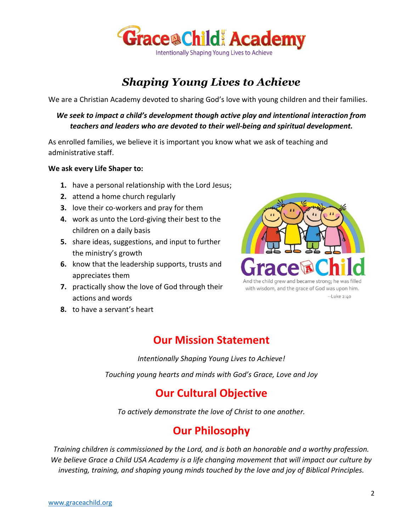

# *Shaping Young Lives to Achieve*

We are a Christian Academy devoted to sharing God's love with young children and their families.

# *We seek to impact a child's development though active play and intentional interaction from teachers and leaders who are devoted to their well-being and spiritual development.*

As enrolled families, we believe it is important you know what we ask of teaching and administrative staff.

# **We ask every Life Shaper to:**

- **1.** have a personal relationship with the Lord Jesus;
- **2.** attend a home church regularly
- **3.** love their co-workers and pray for them
- **4.** work as unto the Lord-giving their best to the children on a daily basis
- **5.** share ideas, suggestions, and input to further the ministry's growth
- **6.** know that the leadership supports, trusts and appreciates them
- **7.** practically show the love of God through their actions and words



with wisdom, and the grace of God was upon him. --Luke 2:40

**8.** to have a servant's heart

# **Our Mission Statement**

*Intentionally Shaping Young Lives to Achieve!*

*Touching young hearts and minds with God's Grace, Love and Joy*

# **Our Cultural Objective**

*To actively demonstrate the love of Christ to one another.*

# **Our Philosophy**

*Training children is commissioned by the Lord, and is both an honorable and a worthy profession. We believe Grace a Child USA Academy is a life changing movement that will impact our culture by investing, training, and shaping young minds touched by the love and joy of Biblical Principles.*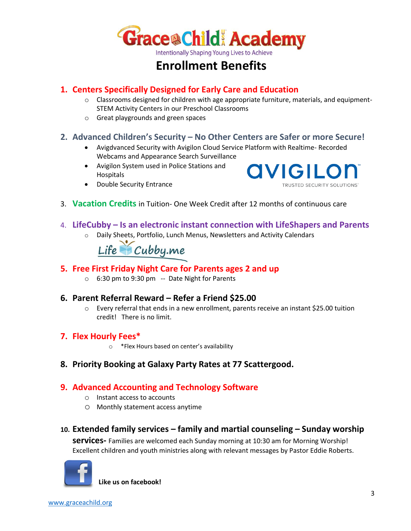

# **Enrollment Benefits**

# **1. Centers Specifically Designed for Early Care and Education**

- o Classrooms designed for children with age appropriate furniture, materials, and equipment-STEM Activity Centers in our Preschool Classrooms
- o Great playgrounds and green spaces

# **2. Advanced Children's Security – No Other Centers are Safer or more Secure!**

- Avigdvanced Security with Avigilon Cloud Service Platform with Realtime- Recorded Webcams and Appearance Search Surveillance
- Avigilon System used in Police Stations and Hospitals
- **QVIGILO TRUSTED SECURITY SOLUTIONS**
- Double Security Entrance
- 3. **Vacation Credits** in Tuition- One Week Credit after 12 months of continuous care
- 4. **LifeCubby – Is an electronic instant connection with LifeShapers and Parents**
	- o Daily Sheets, Portfolio, Lunch Menus, Newsletters and Activity Calendars

Life Cubby.me

# **5. Free First Friday Night Care for Parents ages 2 and up**

o 6:30 pm to 9:30 pm -- Date Night for Parents

# **6. Parent Referral Reward – Refer a Friend \$25.00**

 $\circ$  Every referral that ends in a new enrollment, parents receive an instant \$25.00 tuition credit! There is no limit.

# **7. Flex Hourly Fees\***

- o \*Flex Hours based on center's availability
- **8. Priority Booking at Galaxy Party Rates at 77 Scattergood.**

# **9. Advanced Accounting and Technology Software**

- o Instant access to accounts
- o Monthly statement access anytime
- **10. Extended family services – family and martial counseling – Sunday worship**

**services-** Families are welcomed each Sunday morning at 10:30 am for Morning Worship! Excellent children and youth ministries along with relevant messages by Pastor Eddie Roberts.



**Like us on facebook!**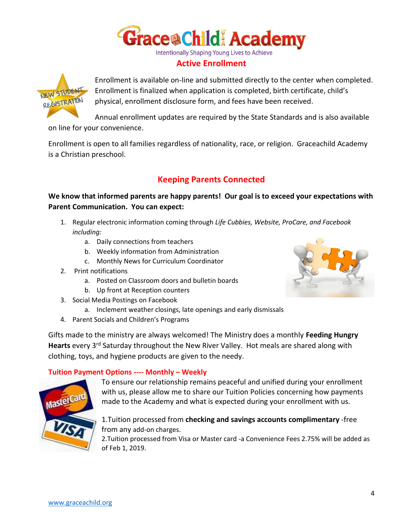

# **Active Enrollment**



Enrollment is available on-line and submitted directly to the center when completed. Enrollment is finalized when application is completed, birth certificate, child's physical, enrollment disclosure form, and fees have been received.

Annual enrollment updates are required by the State Standards and is also available on line for your convenience.

Enrollment is open to all families regardless of nationality, race, or religion. Graceachild Academy is a Christian preschool.

# **Keeping Parents Connected**

**We know that informed parents are happy parents! Our goal is to exceed your expectations with Parent Communication. You can expect:** 

- 1. Regular electronic information coming through *Life Cubbies, Website, ProCare, and Facebook including:*
	- a. Daily connections from teachers
	- b. Weekly information from Administration
	- c. Monthly News for Curriculum Coordinator
- 2. Print notifications
	- a. Posted on Classroom doors and bulletin boards
	- b. Up front at Reception counters
- 3. Social Media Postings on Facebook
	- a. Inclement weather closings, late openings and early dismissals
- 4. Parent Socials and Children's Programs

Gifts made to the ministry are always welcomed! The Ministry does a monthly **Feeding Hungry**  Hearts every 3<sup>rd</sup> Saturday throughout the New River Valley. Hot meals are shared along with clothing, toys, and hygiene products are given to the needy.

# **Tuition Payment Options ---- Monthly – Weekly**



To ensure our relationship remains peaceful and unified during your enrollment with us, please allow me to share our Tuition Policies concerning how payments made to the Academy and what is expected during your enrollment with us.

# 1.Tuition processed from **checking and savings accounts complimentary** -free from any add-on charges.

2.Tuition processed from Visa or Master card -a Convenience Fees 2.75% will be added as of Feb 1, 2019.

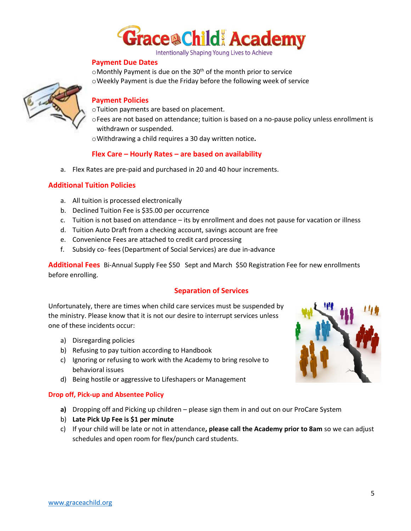

#### **Payment Due Dates**

 $\circ$ Monthly Payment is due on the 30<sup>th</sup> of the month prior to service oWeekly Payment is due the Friday before the following week of service



#### **Payment Policies**

oTuition payments are based on placement.

- oFees are not based on attendance; tuition is based on a no-pause policy unless enrollment is withdrawn or suspended.
- oWithdrawing a child requires a 30 day written notice**.**

# **Flex Care – Hourly Rates – are based on availability**

a. Flex Rates are pre-paid and purchased in 20 and 40 hour increments.

# **Additional Tuition Policies**

- a. All tuition is processed electronically
- b. Declined Tuition Fee is \$35.00 per occurrence
- c. Tuition is not based on attendance its by enrollment and does not pause for vacation or illness
- d. Tuition Auto Draft from a checking account, savings account are free
- e. Convenience Fees are attached to credit card processing
- f. Subsidy co- fees (Department of Social Services) are due in-advance

**Additional Fees** Bi-Annual Supply Fee \$50 Sept and March \$50 Registration Fee for new enrollments before enrolling.

## **Separation of Services**

Unfortunately, there are times when child care services must be suspended by the ministry. Please know that it is not our desire to interrupt services unless one of these incidents occur:

- a) Disregarding policies
- b) Refusing to pay tuition according to Handbook
- c) Ignoring or refusing to work with the Academy to bring resolve to behavioral issues
- d) Being hostile or aggressive to Lifeshapers or Management

#### **Drop off, Pick-up and Absentee Policy**

- **a)** Dropping off and Picking up children please sign them in and out on our ProCare System
- b) **Late Pick Up Fee is \$1 per minute**
- c) If your child will be late or not in attendance**, please call the Academy prior to 8am** so we can adjust schedules and open room for flex/punch card students.

![](_page_5_Picture_29.jpeg)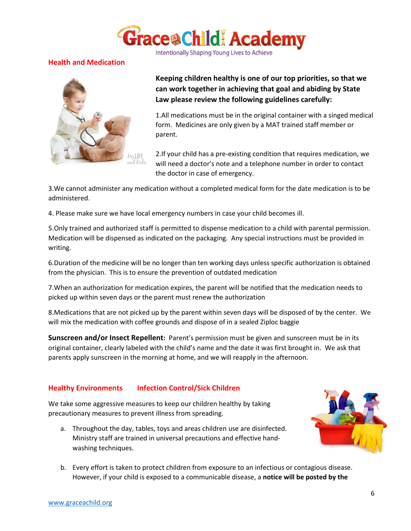![](_page_6_Picture_0.jpeg)

# **Health and Medication**

![](_page_6_Picture_3.jpeg)

**Keeping children healthy is one of our top priorities, so that we can work together in achieving that goal and abiding by State Law please review the following guidelines carefully:**

1.All medications must be in the original container with a singed medical form. Medicines are only given by a MAT trained staff member or parent.

2.If your child has a pre-existing condition that requires medication, we will need a doctor's note and a telephone number in order to contact the doctor in case of emergency.

3.We cannot administer any medication without a completed medical form for the date medication is to be administered.

4. Please make sure we have local emergency numbers in case your child becomes ill.

5.Only trained and authorized staff is permitted to dispense medication to a child with parental permission. Medication will be dispensed as indicated on the packaging. Any special instructions must be provided in writing.

6.Duration of the medicine will be no longer than ten working days unless specific authorization is obtained from the physician. This is to ensure the prevention of outdated medication

7.When an authorization for medication expires, the parent will be notified that the medication needs to picked up within seven days or the parent must renew the authorization

8.Medications that are not picked up by the parent within seven days will be disposed of by the center. We will mix the medication with coffee grounds and dispose of in a sealed Ziploc baggie

**Sunscreen and/or Insect Repellent:** Parent's permission must be given and sunscreen must be in its original container, clearly labeled with the child's name and the date it was first brought in. We ask that parents apply sunscreen in the morning at home, and we will reapply in the afternoon.

## **Healthy Environments Infection Control/Sick Children**

We take some aggressive measures to keep our children healthy by taking precautionary measures to prevent illness from spreading.

a. Throughout the day, tables, toys and areas children use are disinfected. Ministry staff are trained in universal precautions and effective handwashing techniques.

![](_page_6_Picture_17.jpeg)

b. Every effort is taken to protect children from exposure to an infectious or contagious disease. However, if your child is exposed to a communicable disease, a **notice will be posted by the**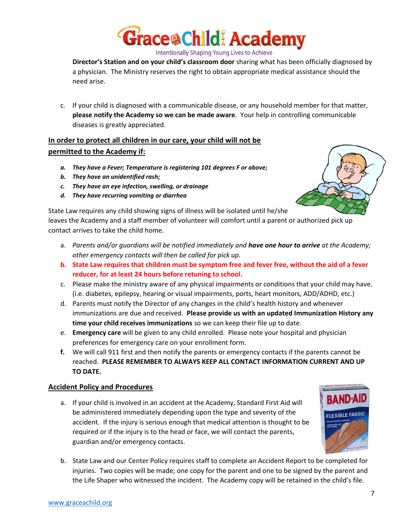![](_page_7_Picture_0.jpeg)

**Director's Station and on your child's classroom door** sharing what has been officially diagnosed by a physician. The Ministry reserves the right to obtain appropriate medical assistance should the need arise.

c. If your child is diagnosed with a communicable disease, or any household member for that matter, **please notify the Academy so we can be made aware**. Your help in controlling communicable diseases is greatly appreciated.

# **In order to protect all children in our care, your child will not be permitted to the Academy if:**

- *a. They have a Fever; Temperature is registering 101 degrees F or above;*
- *b. They have an unidentified rash;*
- *c. They have an eye infection, swelling, or drainage*
- *d. They have recurring vomiting or diarrhea*

State Law requires any child showing signs of illness will be isolated until he/she leaves the Academy and a staff member of volunteer will comfort until a parent or authorized pick up contact arrives to take the child home.

- a. *Parents and/or guardians will be notified immediately and have one hour to arrive at the Academy; other emergency contacts will then be called for pick up.*
- **b. State Law requires that children must be symptom free and fever free, without the aid of a fever reducer, for at least 24 hours before retuning to school.**
- c. Please make the ministry aware of any physical impairments or conditions that your child may have. (i.e. diabetes, epilepsy, hearing or visual impairments, ports, heart monitors, ADD/ADHD, etc.)
- d. Parents must notify the Director of any changes in the child's health history and whenever immunizations are due and received. **Please provide us with an updated Immunization History any time your child receives immunizations** so we can keep their file up to date.
- e. **Emergency care** will be given to any child enrolled. Please note your hospital and physician preferences for emergency care on your enrollment form.
- **f.** We will call 911 first and then notify the parents or emergency contacts if the parents cannot be reached. **PLEASE REMEMBER TO ALWAYS KEEP ALL CONTACT INFORMATION CURRENT AND UP TO DATE.**

# **Accident Policy and Procedures**

a. If your child is involved in an accident at the Academy, Standard First Aid will be administered immediately depending upon the type and severity of the accident. If the injury is serious enough that medical attention is thought to be required or if the injury is to the head or face, we will contact the parents, guardian and/or emergency contacts.

![](_page_7_Picture_19.jpeg)

b. State Law and our Center Policy requires staff to complete an Accident Report to be completed for injuries. Two copies will be made; one copy for the parent and one to be signed by the parent and the Life Shaper who witnessed the incident. The Academy copy will be retained in the child's file.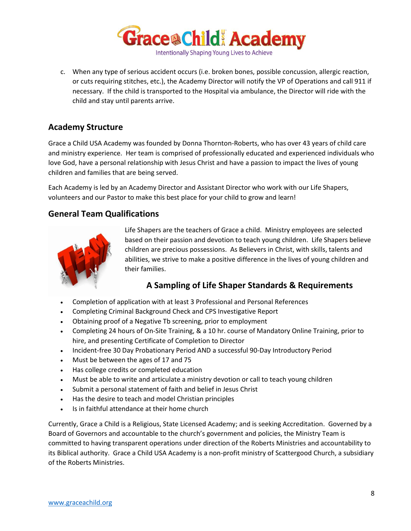![](_page_8_Picture_0.jpeg)

c. When any type of serious accident occurs (i.e. broken bones, possible concussion, allergic reaction, or cuts requiring stitches, etc.), the Academy Director will notify the VP of Operations and call 911 if necessary. If the child is transported to the Hospital via ambulance, the Director will ride with the child and stay until parents arrive.

# **Academy Structure**

Grace a Child USA Academy was founded by Donna Thornton-Roberts, who has over 43 years of child care and ministry experience. Her team is comprised of professionally educated and experienced individuals who love God, have a personal relationship with Jesus Christ and have a passion to impact the lives of young children and families that are being served.

Each Academy is led by an Academy Director and Assistant Director who work with our Life Shapers, volunteers and our Pastor to make this best place for your child to grow and learn!

# **General Team Qualifications**

![](_page_8_Picture_6.jpeg)

Life Shapers are the teachers of Grace a child. Ministry employees are selected based on their passion and devotion to teach young children. Life Shapers believe children are precious possessions. As Believers in Christ, with skills, talents and abilities, we strive to make a positive difference in the lives of young children and their families.

# **A Sampling of Life Shaper Standards & Requirements**

- Completion of application with at least 3 Professional and Personal References
- Completing Criminal Background Check and CPS Investigative Report
- Obtaining proof of a Negative Tb screening, prior to employment
- Completing 24 hours of On-Site Training, & a 10 hr. course of Mandatory Online Training, prior to hire, and presenting Certificate of Completion to Director
- Incident-free 30 Day Probationary Period AND a successful 90-Day Introductory Period
- Must be between the ages of 17 and 75
- Has college credits or completed education
- Must be able to write and articulate a ministry devotion or call to teach young children
- Submit a personal statement of faith and belief in Jesus Christ
- Has the desire to teach and model Christian principles
- Is in faithful attendance at their home church

Currently, Grace a Child is a Religious, State Licensed Academy; and is seeking Accreditation. Governed by a Board of Governors and accountable to the church's government and policies, the Ministry Team is committed to having transparent operations under direction of the Roberts Ministries and accountability to its Biblical authority. Grace a Child USA Academy is a non-profit ministry of Scattergood Church, a subsidiary of the Roberts Ministries.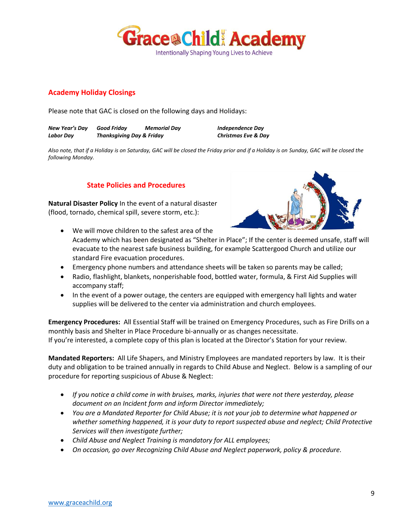![](_page_9_Picture_0.jpeg)

# **Academy Holiday Closings**

Please note that GAC is closed on the following days and Holidays:

*New Year's Day Good Friday Memorial Day Independence Day Labor Day Thanksgiving Day & Friday Christmas Eve & Day*

*Also note, that if a Holiday is on Saturday, GAC will be closed the Friday prior and if a Holiday is on Sunday, GAC will be closed the following Monday.*

# **State Policies and Procedures**

**Natural Disaster Policy** In the event of a natural disaster (flood, tornado, chemical spill, severe storm, etc.):

![](_page_9_Picture_8.jpeg)

- We will move children to the safest area of the Academy which has been designated as "Shelter in Place"; If the center is deemed unsafe, staff will evacuate to the nearest safe business building, for example Scattergood Church and utilize our standard Fire evacuation procedures.
- Emergency phone numbers and attendance sheets will be taken so parents may be called;
- Radio, flashlight, blankets, nonperishable food, bottled water, formula, & First Aid Supplies will accompany staff;
- In the event of a power outage, the centers are equipped with emergency hall lights and water supplies will be delivered to the center via administration and church employees.

**Emergency Procedures:** All Essential Staff will be trained on Emergency Procedures, such as Fire Drills on a monthly basis and Shelter in Place Procedure bi-annually or as changes necessitate. If you're interested, a complete copy of this plan is located at the Director's Station for your review.

**Mandated Reporters:** All Life Shapers, and Ministry Employees are mandated reporters by law. It is their duty and obligation to be trained annually in regards to Child Abuse and Neglect. Below is a sampling of our procedure for reporting suspicious of Abuse & Neglect:

- *If you notice a child come in with bruises, marks, injuries that were not there yesterday, please document on an Incident form and inform Director immediately;*
- *You are a Mandated Reporter for Child Abuse; it is not your job to determine what happened or whether something happened, it is your duty to report suspected abuse and neglect; Child Protective Services will then investigate further;*
- *Child Abuse and Neglect Training is mandatory for ALL employees;*
- *On occasion, go over Recognizing Child Abuse and Neglect paperwork, policy & procedure.*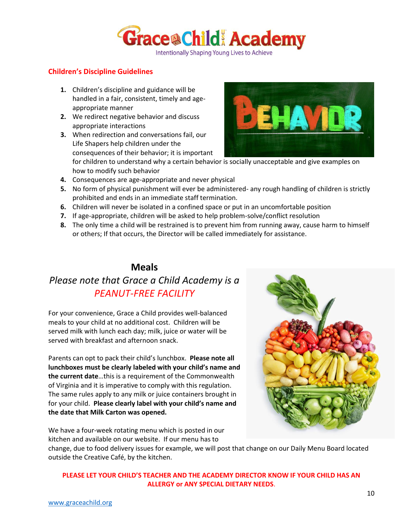![](_page_10_Picture_0.jpeg)

# **Children's Discipline Guidelines**

- **1.** Children's discipline and guidance will be handled in a fair, consistent, timely and ageappropriate manner
- **2.** We redirect negative behavior and discuss appropriate interactions
- **3.** When redirection and conversations fail, our Life Shapers help children under the consequences of their behavior; it is important

![](_page_10_Picture_6.jpeg)

for children to understand why a certain behavior is socially unacceptable and give examples on how to modify such behavior

- **4.** Consequences are age-appropriate and never physical
- **5.** No form of physical punishment will ever be administered- any rough handling of children is strictly prohibited and ends in an immediate staff termination.
- **6.** Children will never be isolated in a confined space or put in an uncomfortable position
- **7.** If age-appropriate, children will be asked to help problem-solve/conflict resolution
- **8.** The only time a child will be restrained is to prevent him from running away, cause harm to himself or others; If that occurs, the Director will be called immediately for assistance.

# **Meals**

# *Please note that Grace a Child Academy is a PEANUT-FREE FACILITY*

For your convenience, Grace a Child provides well-balanced meals to your child at no additional cost. Children will be served milk with lunch each day; milk, juice or water will be served with breakfast and afternoon snack.

Parents can opt to pack their child's lunchbox. **Please note all lunchboxes must be clearly labeled with your child's name and the current date**…this is a requirement of the Commonwealth of Virginia and it is imperative to comply with this regulation. The same rules apply to any milk or juice containers brought in for your child. **Please clearly label with your child's name and the date that Milk Carton was opened.** 

![](_page_10_Picture_17.jpeg)

We have a four-week rotating menu which is posted in our kitchen and available on our website. If our menu has to

change, due to food delivery issues for example, we will post that change on our Daily Menu Board located outside the Creative Café, by the kitchen.

# **PLEASE LET YOUR CHILD'S TEACHER AND THE ACADEMY DIRECTOR KNOW IF YOUR CHILD HAS AN ALLERGY or ANY SPECIAL DIETARY NEEDS**.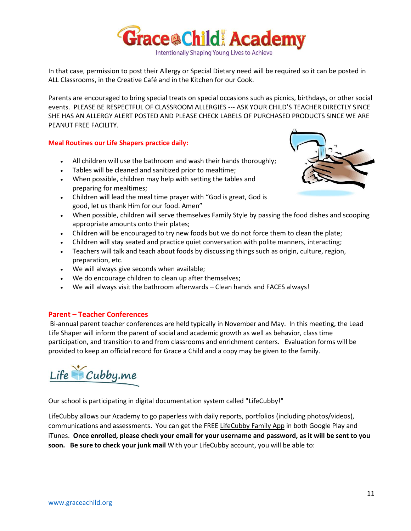![](_page_11_Picture_0.jpeg)

In that case, permission to post their Allergy or Special Dietary need will be required so it can be posted in ALL Classrooms, in the Creative Café and in the Kitchen for our Cook.

Parents are encouraged to bring special treats on special occasions such as picnics, birthdays, or other social events. PLEASE BE RESPECTFUL OF CLASSROOM ALLERGIES --- ASK YOUR CHILD'S TEACHER DIRECTLY SINCE SHE HAS AN ALLERGY ALERT POSTED AND PLEASE CHECK LABELS OF PURCHASED PRODUCTS SINCE WE ARE PEANUT FREE FACILITY.

# **Meal Routines our Life Shapers practice daily:**

- All children will use the bathroom and wash their hands thoroughly;
- Tables will be cleaned and sanitized prior to mealtime;
- When possible, children may help with setting the tables and preparing for mealtimes;
- Children will lead the meal time prayer with "God is great, God is good, let us thank Him for our food. Amen"
- When possible, children will serve themselves Family Style by passing the food dishes and scooping appropriate amounts onto their plates;
- Children will be encouraged to try new foods but we do not force them to clean the plate;
- Children will stay seated and practice quiet conversation with polite manners, interacting;
- Teachers will talk and teach about foods by discussing things such as origin, culture, region, preparation, etc.
- We will always give seconds when available;
- We do encourage children to clean up after themselves;
- We will always visit the bathroom afterwards Clean hands and FACES always!

# **Parent – Teacher Conferences**

Bi-annual parent teacher conferences are held typically in November and May. In this meeting, the Lead Life Shaper will inform the parent of social and academic growth as well as behavior, class time participation, and transition to and from classrooms and enrichment centers. Evaluation forms will be provided to keep an official record for Grace a Child and a copy may be given to the family.

Life Cubby.me

Our school is participating in digital documentation system called "LifeCubby!"

LifeCubby allows our Academy to go paperless with daily reports, portfolios (including photos/videos), communications and assessments. You can get the FREE LifeCubby Family App in both Google Play and iTunes. **Once enrolled, please check your email for your username and password, as it will be sent to you soon. Be sure to check your junk mail** With your LifeCubby account, you will be able to:

![](_page_11_Picture_20.jpeg)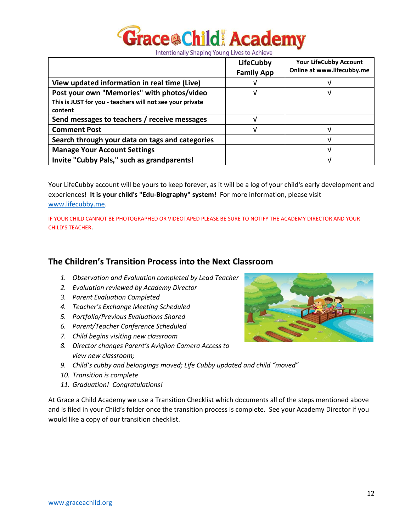![](_page_12_Picture_0.jpeg)

|                                                                      | <b>LifeCubby</b><br><b>Family App</b> | <b>Your LifeCubby Account</b><br>Online at www.lifecubby.me |
|----------------------------------------------------------------------|---------------------------------------|-------------------------------------------------------------|
| View updated information in real time (Live)                         |                                       |                                                             |
| Post your own "Memories" with photos/video                           | ν                                     | ν                                                           |
| This is JUST for you - teachers will not see your private<br>content |                                       |                                                             |
| Send messages to teachers / receive messages                         |                                       |                                                             |
| <b>Comment Post</b>                                                  |                                       | V                                                           |
| Search through your data on tags and categories                      |                                       |                                                             |
| <b>Manage Your Account Settings</b>                                  |                                       | ν                                                           |
| Invite "Cubby Pals," such as grandparents!                           |                                       |                                                             |

Your LifeCubby account will be yours to keep forever, as it will be a log of your child's early development and experiences! **It is your child's "Edu-Biography" system!** For more information, please visit [www.lifecubby.me.](http://www.lifecubby.me/)

IF YOUR CHILD CANNOT BE PHOTOGRAPHED OR VIDEOTAPED PLEASE BE SURE TO NOTIFY THE ACADEMY DIRECTOR AND YOUR CHILD'S TEACHER.

# **The Children's Transition Process into the Next Classroom**

- *1. Observation and Evaluation completed by Lead Teacher*
- *2. Evaluation reviewed by Academy Director*
- *3. Parent Evaluation Completed*
- *4. Teacher's Exchange Meeting Scheduled*
- *5. Portfolio/Previous Evaluations Shared*
- *6. Parent/Teacher Conference Scheduled*
- *7. Child begins visiting new classroom*
- *8. Director changes Parent's Avigilon Camera Access to view new classroom;*
- *9. Child's cubby and belongings moved; Life Cubby updated and child "moved"*
- *10. Transition is complete*
- *11. Graduation! Congratulations!*

At Grace a Child Academy we use a Transition Checklist which documents all of the steps mentioned above and is filed in your Child's folder once the transition process is complete. See your Academy Director if you would like a copy of our transition checklist.

![](_page_12_Picture_18.jpeg)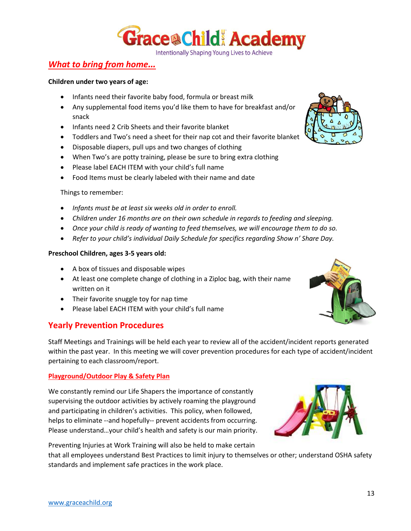![](_page_13_Picture_0.jpeg)

# *What to bring from home…*

#### **Children under two years of age:**

- Infants need their favorite baby food, formula or breast milk
- Any supplemental food items you'd like them to have for breakfast and/or snack
- Infants need 2 Crib Sheets and their favorite blanket
- Toddlers and Two's need a sheet for their nap cot and their favorite blanket
- Disposable diapers, pull ups and two changes of clothing
- When Two's are potty training, please be sure to bring extra clothing
- Please label EACH ITEM with your child's full name
- Food Items must be clearly labeled with their name and date

#### Things to remember:

- *Infants must be at least six weeks old in order to enroll.*
- *Children under 16 months are on their own schedule in regards to feeding and sleeping.*
- *Once your child is ready of wanting to feed themselves, we will encourage them to do so.*
- *Refer to your child's individual Daily Schedule for specifics regarding Show n' Share Day.*

#### **Preschool Children, ages 3-5 years old:**

- A box of tissues and disposable wipes
- At least one complete change of clothing in a Ziploc bag, with their name written on it
- Their favorite snuggle toy for nap time
- Please label EACH ITEM with your child's full name

# **Yearly Prevention Procedures**

Staff Meetings and Trainings will be held each year to review all of the accident/incident reports generated within the past year. In this meeting we will cover prevention procedures for each type of accident/incident pertaining to each classroom/report.

# **Playground/Outdoor Play & Safety Plan**

We constantly remind our Life Shapers the importance of constantly supervising the outdoor activities by actively roaming the playground and participating in children's activities. This policy, when followed, helps to eliminate --and hopefully-- prevent accidents from occurring. Please understand…your child's health and safety is our main priority.

Preventing Injuries at Work Training will also be held to make certain

that all employees understand Best Practices to limit injury to themselves or other; understand OSHA safety standards and implement safe practices in the work place.

![](_page_13_Picture_28.jpeg)

![](_page_13_Picture_29.jpeg)

![](_page_13_Picture_32.jpeg)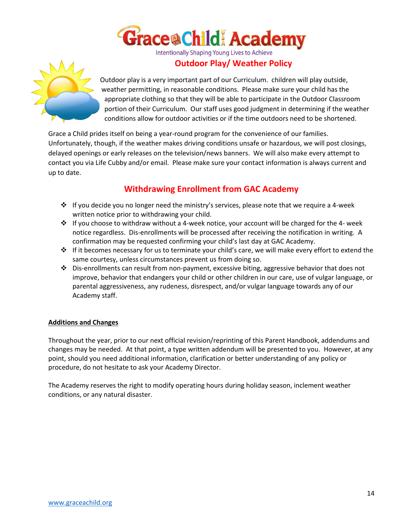![](_page_14_Picture_0.jpeg)

# **Outdoor Play/ Weather Policy**

![](_page_14_Picture_3.jpeg)

Outdoor play is a very important part of our Curriculum. children will play outside, weather permitting, in reasonable conditions. Please make sure your child has the appropriate clothing so that they will be able to participate in the Outdoor Classroom portion of their Curriculum. Our staff uses good judgment in determining if the weather conditions allow for outdoor activities or if the time outdoors need to be shortened.

Grace a Child prides itself on being a year-round program for the convenience of our families. Unfortunately, though, if the weather makes driving conditions unsafe or hazardous, we will post closings, delayed openings or early releases on the television/news banners. We will also make every attempt to contact you via Life Cubby and/or email. Please make sure your contact information is always current and up to date.

# **Withdrawing Enrollment from GAC Academy**

- ❖ If you decide you no longer need the ministry's services, please note that we require a 4-week written notice prior to withdrawing your child.
- ❖ If you choose to withdraw without a 4-week notice, your account will be charged for the 4- week notice regardless. Dis-enrollments will be processed after receiving the notification in writing. A confirmation may be requested confirming your child's last day at GAC Academy.
- ❖ If it becomes necessary for us to terminate your child's care, we will make every effort to extend the same courtesy, unless circumstances prevent us from doing so.
- ❖ Dis-enrollments can result from non-payment, excessive biting, aggressive behavior that does not improve, behavior that endangers your child or other children in our care, use of vulgar language, or parental aggressiveness, any rudeness, disrespect, and/or vulgar language towards any of our Academy staff.

## **Additions and Changes**

Throughout the year, prior to our next official revision/reprinting of this Parent Handbook, addendums and changes may be needed. At that point, a type written addendum will be presented to you. However, at any point, should you need additional information, clarification or better understanding of any policy or procedure, do not hesitate to ask your Academy Director.

The Academy reserves the right to modify operating hours during holiday season, inclement weather conditions, or any natural disaster.